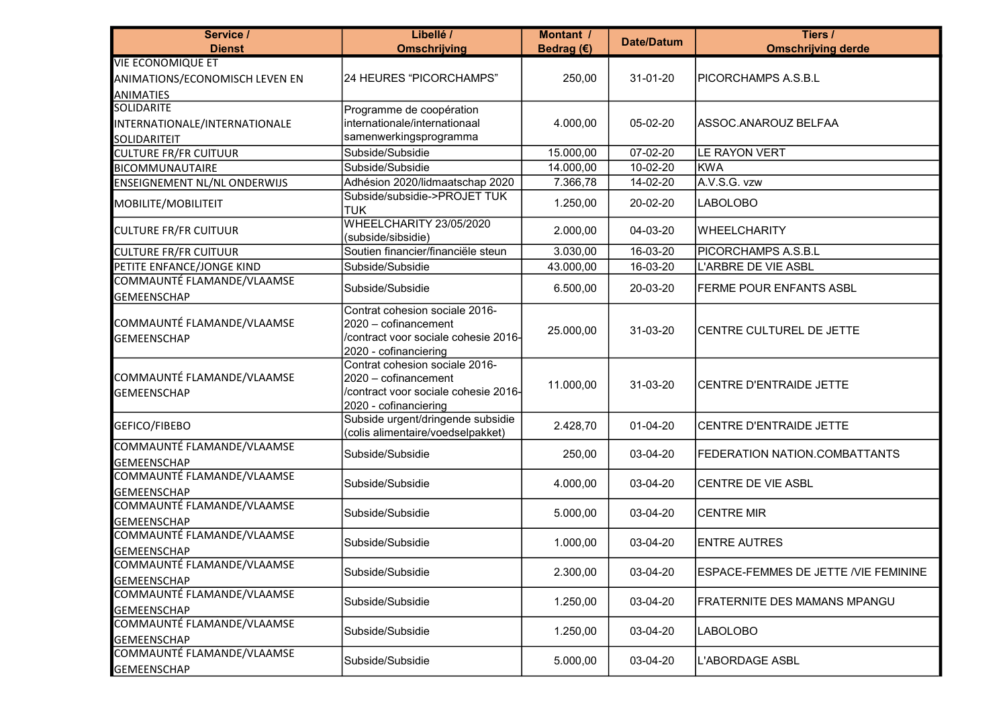| Service /<br><b>Dienst</b>                       | Libellé /<br><b>Omschrijving</b>                                                                                        | <b>Montant /</b><br>Bedrag $(E)$ | <b>Date/Datum</b> | Tiers /<br><b>Omschrijving derde</b>         |
|--------------------------------------------------|-------------------------------------------------------------------------------------------------------------------------|----------------------------------|-------------------|----------------------------------------------|
| <b>VIE ECONOMIQUE ET</b>                         |                                                                                                                         |                                  |                   |                                              |
| ANIMATIONS/ECONOMISCH LEVEN EN                   | 24 HEURES "PICORCHAMPS"                                                                                                 | 250,00                           | 31-01-20          | PICORCHAMPS A.S.B.L                          |
| <b>ANIMATIES</b>                                 |                                                                                                                         |                                  |                   |                                              |
| <b>SOLIDARITE</b>                                | Programme de coopération                                                                                                |                                  |                   |                                              |
| INTERNATIONALE/INTERNATIONALE                    | internationale/internationaal                                                                                           | 4.000,00                         | 05-02-20          | ASSOC.ANAROUZ BELFAA                         |
| SOLIDARITEIT                                     | samenwerkingsprogramma                                                                                                  |                                  |                   |                                              |
| <b>CULTURE FR/FR CUITUUR</b>                     | Subside/Subsidie                                                                                                        | 15.000,00                        | 07-02-20          | LE RAYON VERT                                |
| <b>BICOMMUNAUTAIRE</b>                           | Subside/Subsidie                                                                                                        | 14.000,00                        | 10-02-20          | KWA                                          |
| ENSEIGNEMENT NL/NL ONDERWIJS                     | Adhésion 2020/lidmaatschap 2020                                                                                         | 7.366,78                         | 14-02-20          | A.V.S.G. vzw                                 |
| MOBILITE/MOBILITEIT                              | Subside/subsidie->PROJET TUK<br><b>TUK</b>                                                                              | 1.250,00                         | 20-02-20          | <b>LABOLOBO</b>                              |
| <b>CULTURE FR/FR CUITUUR</b>                     | WHEELCHARITY 23/05/2020<br>(subside/sibsidie)                                                                           | 2.000,00                         | 04-03-20          | <b>WHEELCHARITY</b>                          |
| <b>CULTURE FR/FR CUITUUR</b>                     | Soutien financier/financiële steun                                                                                      | 3.030,00                         | $16 - 03 - 20$    | PICORCHAMPS A.S.B.L                          |
| PETITE ENFANCE/JONGE KIND                        | Subside/Subsidie                                                                                                        | 43.000,00                        | 16-03-20          | L'ARBRE DE VIE ASBL                          |
| COMMAUNTÉ FLAMANDE/VLAAMSE                       | Subside/Subsidie                                                                                                        | 6.500,00                         | 20-03-20          | FERME POUR ENFANTS ASBL                      |
| <b>GEMEENSCHAP</b>                               |                                                                                                                         |                                  |                   |                                              |
| COMMAUNTÉ FLAMANDE/VLAAMSE<br><b>GEMEENSCHAP</b> | Contrat cohesion sociale 2016-<br>2020 - cofinancement<br>/contract voor sociale cohesie 2016-<br>2020 - cofinanciering | 25.000,00                        | 31-03-20          | CENTRE CULTUREL DE JETTE                     |
| COMMAUNTÉ FLAMANDE/VLAAMSE<br><b>GEMEENSCHAP</b> | Contrat cohesion sociale 2016-<br>2020 - cofinancement<br>/contract voor sociale cohesie 2016-<br>2020 - cofinanciering | 11.000,00                        | 31-03-20          | CENTRE D'ENTRAIDE JETTE                      |
| GEFICO/FIBEBO                                    | Subside urgent/dringende subsidie<br>(colis alimentaire/voedselpakket)                                                  | 2.428,70                         | 01-04-20          | <b>CENTRE D'ENTRAIDE JETTE</b>               |
| COMMAUNTÉ FLAMANDE/VLAAMSE<br><b>GEMEENSCHAP</b> | Subside/Subsidie                                                                                                        | 250,00                           | 03-04-20          | FEDERATION NATION.COMBATTANTS                |
| COMMAUNTÉ FLAMANDE/VLAAMSE<br><b>GEMEENSCHAP</b> | Subside/Subsidie                                                                                                        | 4.000,00                         | 03-04-20          | CENTRE DE VIE ASBL                           |
| COMMAUNTÉ FLAMANDE/VLAAMSE<br><b>GEMEENSCHAP</b> | Subside/Subsidie                                                                                                        | 5.000,00                         | 03-04-20          | <b>CENTRE MIR</b>                            |
| COMMAUNTÉ FLAMANDE/VLAAMSE<br><b>GEMEENSCHAP</b> | Subside/Subsidie                                                                                                        | 1.000,00                         | 03-04-20          | <b>ENTRE AUTRES</b>                          |
| COMMAUNTÉ FLAMANDE/VLAAMSE<br><b>GEMEENSCHAP</b> | Subside/Subsidie                                                                                                        | 2.300,00                         | 03-04-20          | <b>ESPACE-FEMMES DE JETTE / VIE FEMININE</b> |
| COMMAUNTÉ FLAMANDE/VLAAMSE<br><b>GEMEENSCHAP</b> | Subside/Subsidie                                                                                                        | 1.250,00                         | 03-04-20          | FRATERNITE DES MAMANS MPANGU                 |
| COMMAUNTÉ FLAMANDE/VLAAMSE<br><b>GEMEENSCHAP</b> | Subside/Subsidie                                                                                                        | 1.250,00                         | 03-04-20          | LABOLOBO                                     |
| COMMAUNTÉ FLAMANDE/VLAAMSE<br><b>GEMEENSCHAP</b> | Subside/Subsidie                                                                                                        | 5.000,00                         | 03-04-20          | L'ABORDAGE ASBL                              |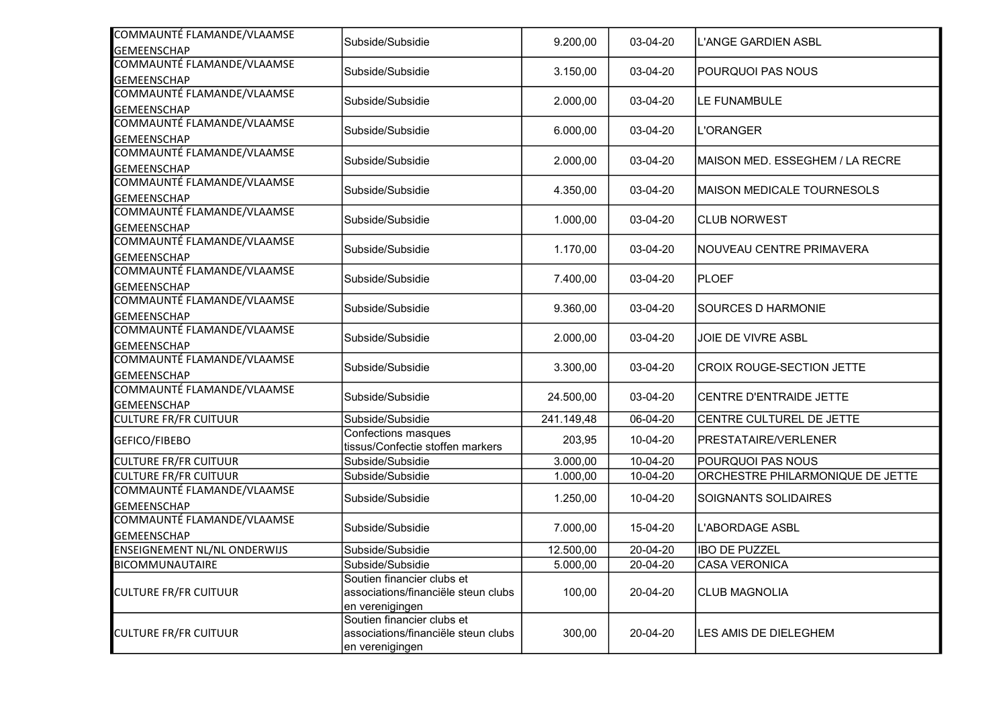| Subside/Subsidie                 |                                                                                                                                                                                                                                                                                                                                                                                          |                                                                                                                                                                                           | <b>L'ANGE GARDIEN ASBL</b>                                                                                                                                                       |
|----------------------------------|------------------------------------------------------------------------------------------------------------------------------------------------------------------------------------------------------------------------------------------------------------------------------------------------------------------------------------------------------------------------------------------|-------------------------------------------------------------------------------------------------------------------------------------------------------------------------------------------|----------------------------------------------------------------------------------------------------------------------------------------------------------------------------------|
|                                  |                                                                                                                                                                                                                                                                                                                                                                                          |                                                                                                                                                                                           |                                                                                                                                                                                  |
| Subside/Subsidie                 | 3.150,00                                                                                                                                                                                                                                                                                                                                                                                 | 03-04-20                                                                                                                                                                                  | POURQUOI PAS NOUS                                                                                                                                                                |
|                                  |                                                                                                                                                                                                                                                                                                                                                                                          |                                                                                                                                                                                           |                                                                                                                                                                                  |
| Subside/Subsidie                 | 2.000,00                                                                                                                                                                                                                                                                                                                                                                                 | 03-04-20                                                                                                                                                                                  | LE FUNAMBULE                                                                                                                                                                     |
|                                  |                                                                                                                                                                                                                                                                                                                                                                                          |                                                                                                                                                                                           |                                                                                                                                                                                  |
| Subside/Subsidie                 | 6.000,00                                                                                                                                                                                                                                                                                                                                                                                 | 03-04-20                                                                                                                                                                                  | <b>L'ORANGER</b>                                                                                                                                                                 |
|                                  |                                                                                                                                                                                                                                                                                                                                                                                          |                                                                                                                                                                                           |                                                                                                                                                                                  |
|                                  |                                                                                                                                                                                                                                                                                                                                                                                          |                                                                                                                                                                                           | MAISON MED. ESSEGHEM / LA RECRE                                                                                                                                                  |
|                                  |                                                                                                                                                                                                                                                                                                                                                                                          |                                                                                                                                                                                           |                                                                                                                                                                                  |
|                                  |                                                                                                                                                                                                                                                                                                                                                                                          |                                                                                                                                                                                           | MAISON MEDICALE TOURNESOLS                                                                                                                                                       |
|                                  |                                                                                                                                                                                                                                                                                                                                                                                          |                                                                                                                                                                                           |                                                                                                                                                                                  |
|                                  |                                                                                                                                                                                                                                                                                                                                                                                          |                                                                                                                                                                                           | CLUB NORWEST                                                                                                                                                                     |
|                                  |                                                                                                                                                                                                                                                                                                                                                                                          |                                                                                                                                                                                           | NOUVEAU CENTRE PRIMAVERA                                                                                                                                                         |
|                                  |                                                                                                                                                                                                                                                                                                                                                                                          |                                                                                                                                                                                           |                                                                                                                                                                                  |
|                                  |                                                                                                                                                                                                                                                                                                                                                                                          |                                                                                                                                                                                           | PLOEF                                                                                                                                                                            |
|                                  |                                                                                                                                                                                                                                                                                                                                                                                          |                                                                                                                                                                                           |                                                                                                                                                                                  |
|                                  |                                                                                                                                                                                                                                                                                                                                                                                          |                                                                                                                                                                                           | <b>SOURCES D HARMONIE</b>                                                                                                                                                        |
|                                  |                                                                                                                                                                                                                                                                                                                                                                                          |                                                                                                                                                                                           |                                                                                                                                                                                  |
| Subside/Subsidie                 |                                                                                                                                                                                                                                                                                                                                                                                          | 03-04-20                                                                                                                                                                                  | JOIE DE VIVRE ASBL                                                                                                                                                               |
|                                  |                                                                                                                                                                                                                                                                                                                                                                                          |                                                                                                                                                                                           |                                                                                                                                                                                  |
| Subside/Subsidie                 | 3.300,00                                                                                                                                                                                                                                                                                                                                                                                 | 03-04-20                                                                                                                                                                                  | CROIX ROUGE-SECTION JETTE                                                                                                                                                        |
|                                  |                                                                                                                                                                                                                                                                                                                                                                                          |                                                                                                                                                                                           |                                                                                                                                                                                  |
| Subside/Subsidie                 | 24.500,00                                                                                                                                                                                                                                                                                                                                                                                | 03-04-20                                                                                                                                                                                  | CENTRE D'ENTRAIDE JETTE                                                                                                                                                          |
|                                  |                                                                                                                                                                                                                                                                                                                                                                                          |                                                                                                                                                                                           | CENTRE CULTUREL DE JETTE                                                                                                                                                         |
|                                  |                                                                                                                                                                                                                                                                                                                                                                                          |                                                                                                                                                                                           |                                                                                                                                                                                  |
| tissus/Confectie stoffen markers |                                                                                                                                                                                                                                                                                                                                                                                          |                                                                                                                                                                                           | <b>PRESTATAIRE/VERLENER</b>                                                                                                                                                      |
| Subside/Subsidie                 | 3.000,00                                                                                                                                                                                                                                                                                                                                                                                 | 10-04-20                                                                                                                                                                                  | <b>POURQUOI PAS NOUS</b>                                                                                                                                                         |
| Subside/Subsidie                 | 1.000,00                                                                                                                                                                                                                                                                                                                                                                                 | 10-04-20                                                                                                                                                                                  | ORCHESTRE PHILARMONIQUE DE JETTE                                                                                                                                                 |
|                                  |                                                                                                                                                                                                                                                                                                                                                                                          |                                                                                                                                                                                           | <b>SOIGNANTS SOLIDAIRES</b>                                                                                                                                                      |
|                                  |                                                                                                                                                                                                                                                                                                                                                                                          |                                                                                                                                                                                           |                                                                                                                                                                                  |
|                                  |                                                                                                                                                                                                                                                                                                                                                                                          |                                                                                                                                                                                           | <b>L'ABORDAGE ASBL</b>                                                                                                                                                           |
|                                  |                                                                                                                                                                                                                                                                                                                                                                                          |                                                                                                                                                                                           |                                                                                                                                                                                  |
| Subside/Subsidie                 |                                                                                                                                                                                                                                                                                                                                                                                          |                                                                                                                                                                                           | <b>IBO DE PUZZEL</b>                                                                                                                                                             |
|                                  |                                                                                                                                                                                                                                                                                                                                                                                          |                                                                                                                                                                                           | <b>CASA VERONICA</b>                                                                                                                                                             |
|                                  |                                                                                                                                                                                                                                                                                                                                                                                          |                                                                                                                                                                                           |                                                                                                                                                                                  |
|                                  |                                                                                                                                                                                                                                                                                                                                                                                          |                                                                                                                                                                                           | <b>CLUB MAGNOLIA</b>                                                                                                                                                             |
|                                  |                                                                                                                                                                                                                                                                                                                                                                                          |                                                                                                                                                                                           |                                                                                                                                                                                  |
|                                  |                                                                                                                                                                                                                                                                                                                                                                                          |                                                                                                                                                                                           | LES AMIS DE DIELEGHEM                                                                                                                                                            |
| en verenigingen                  |                                                                                                                                                                                                                                                                                                                                                                                          |                                                                                                                                                                                           |                                                                                                                                                                                  |
|                                  | Subside/Subsidie<br>Subside/Subsidie<br>Subside/Subsidie<br>Subside/Subsidie<br>Subside/Subsidie<br>Subside/Subsidie<br>Subside/Subsidie<br>Confections masques<br>Subside/Subsidie<br>Subside/Subsidie<br>Subside/Subsidie<br>Soutien financier clubs et<br>associations/financiële steun clubs<br>en verenigingen<br>Soutien financier clubs et<br>associations/financiële steun clubs | 9.200,00<br>2.000,00<br>4.350,00<br>1.000,00<br>1.170,00<br>7.400,00<br>9.360,00<br>2.000,00<br>241.149,48<br>203,95<br>1.250,00<br>7.000,00<br>12.500,00<br>5.000,00<br>100,00<br>300,00 | 03-04-20<br>03-04-20<br>03-04-20<br>03-04-20<br>03-04-20<br>03-04-20<br>03-04-20<br>06-04-20<br>10-04-20<br>10-04-20<br>15-04-20<br>20-04-20<br>20-04-20<br>20-04-20<br>20-04-20 |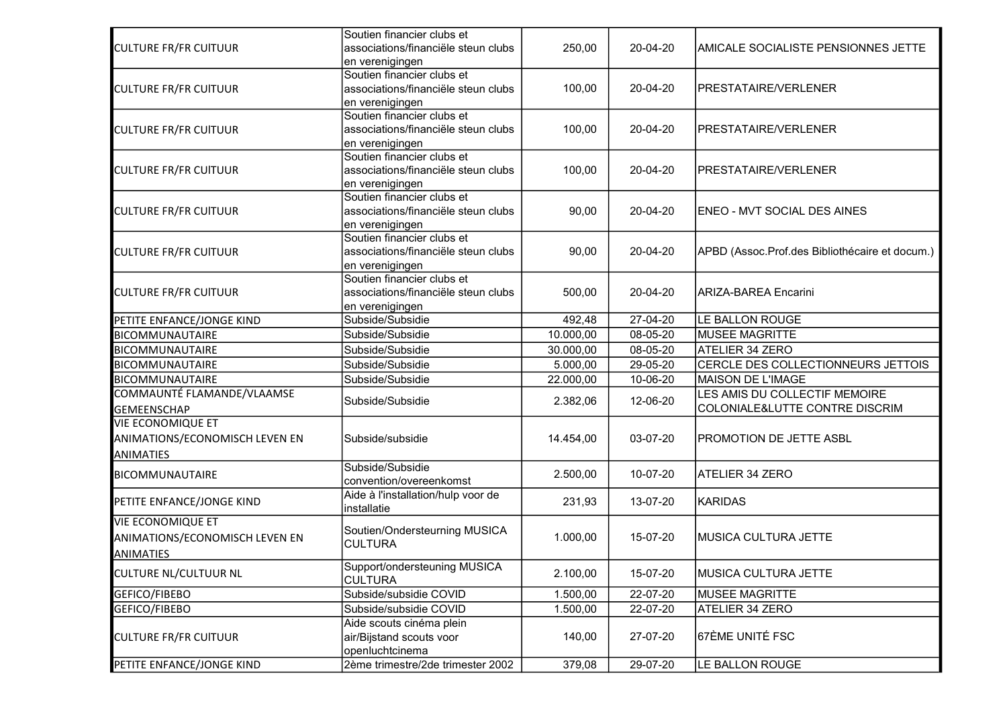| <b>CULTURE FR/FR CUITUUR</b>                                                   | Soutien financier clubs et<br>associations/financiële steun clubs<br>en verenigingen | 250,00    | 20-04-20 | AMICALE SOCIALISTE PENSIONNES JETTE                             |
|--------------------------------------------------------------------------------|--------------------------------------------------------------------------------------|-----------|----------|-----------------------------------------------------------------|
| <b>CULTURE FR/FR CUITUUR</b>                                                   | Soutien financier clubs et<br>associations/financiële steun clubs<br>en verenigingen | 100,00    | 20-04-20 | IPRESTATAIRE/VERLENER                                           |
| <b>CULTURE FR/FR CUITUUR</b>                                                   | Soutien financier clubs et<br>associations/financiële steun clubs<br>en verenigingen | 100,00    | 20-04-20 | <b>PRESTATAIRE/VERLENER</b>                                     |
| <b>CULTURE FR/FR CUITUUR</b>                                                   | Soutien financier clubs et<br>associations/financiële steun clubs<br>en verenigingen | 100,00    | 20-04-20 | PRESTATAIRE/VERLENER                                            |
| <b>CULTURE FR/FR CUITUUR</b>                                                   | Soutien financier clubs et<br>associations/financiële steun clubs<br>en verenigingen | 90,00     | 20-04-20 | <b>ENEO - MVT SOCIAL DES AINES</b>                              |
| <b>CULTURE FR/FR CUITUUR</b>                                                   | Soutien financier clubs et<br>associations/financiële steun clubs<br>en verenigingen | 90,00     | 20-04-20 | APBD (Assoc.Prof.des Bibliothécaire et docum.)                  |
| <b>CULTURE FR/FR CUITUUR</b>                                                   | Soutien financier clubs et<br>associations/financiële steun clubs<br>en verenigingen | 500,00    | 20-04-20 | <b>ARIZA-BAREA Encarini</b>                                     |
| PETITE ENFANCE/JONGE KIND                                                      | Subside/Subsidie                                                                     | 492,48    | 27-04-20 | LE BALLON ROUGE                                                 |
| <b>BICOMMUNAUTAIRE</b>                                                         | Subside/Subsidie                                                                     | 10.000,00 | 08-05-20 | MUSEE MAGRITTE                                                  |
| <b>BICOMMUNAUTAIRE</b>                                                         | Subside/Subsidie                                                                     | 30.000,00 | 08-05-20 | ATELIER 34 ZERO                                                 |
| BICOMMUNAUTAIRE                                                                | Subside/Subsidie                                                                     | 5.000,00  | 29-05-20 | CERCLE DES COLLECTIONNEURS JETTOIS                              |
| BICOMMUNAUTAIRE                                                                | Subside/Subsidie                                                                     | 22.000,00 | 10-06-20 | MAISON DE L'IMAGE                                               |
| COMMAUNTÉ FLAMANDE/VLAAMSE<br><b>GEMEENSCHAP</b>                               | Subside/Subsidie                                                                     | 2.382,06  | 12-06-20 | LES AMIS DU COLLECTIF MEMOIRE<br>COLONIALE&LUTTE CONTRE DISCRIM |
| <b>VIE ECONOMIQUE ET</b><br>ANIMATIONS/ECONOMISCH LEVEN EN<br><b>ANIMATIES</b> | Subside/subsidie                                                                     | 14.454,00 | 03-07-20 | <b>PROMOTION DE JETTE ASBL</b>                                  |
| BICOMMUNAUTAIRE                                                                | Subside/Subsidie<br>convention/overeenkomst                                          | 2.500,00  | 10-07-20 | <b>ATELIER 34 ZERO</b>                                          |
| PETITE ENFANCE/JONGE KIND                                                      | Aide à l'installation/hulp voor de<br>installatie                                    | 231,93    | 13-07-20 | KARIDAS                                                         |
| <b>VIE ECONOMIQUE ET</b><br>ANIMATIONS/ECONOMISCH LEVEN EN<br>ANIMATIES        | Soutien/Ondersteurning MUSICA<br><b>CULTURA</b>                                      | 1.000,00  | 15-07-20 | MUSICA CULTURA JETTE                                            |
| <b>CULTURE NL/CULTUUR NL</b>                                                   | Support/ondersteuning MUSICA<br><b>CULTURA</b>                                       | 2.100,00  | 15-07-20 | MUSICA CULTURA JETTE                                            |
| GEFICO/FIBEBO                                                                  | Subside/subsidie COVID                                                               | 1.500,00  | 22-07-20 | <b>MUSEE MAGRITTE</b>                                           |
| GEFICO/FIBEBO                                                                  | Subside/subsidie COVID                                                               | 1.500,00  | 22-07-20 | ATELIER 34 ZERO                                                 |
| <b>CULTURE FR/FR CUITUUR</b>                                                   | Aide scouts cinéma plein<br>air/Bijstand scouts voor<br>openluchtcinema              | 140,00    | 27-07-20 | 67ÈME UNITÉ FSC                                                 |
| PETITE ENFANCE/JONGE KIND                                                      | 2ème trimestre/2de trimester 2002                                                    | 379,08    | 29-07-20 | LE BALLON ROUGE                                                 |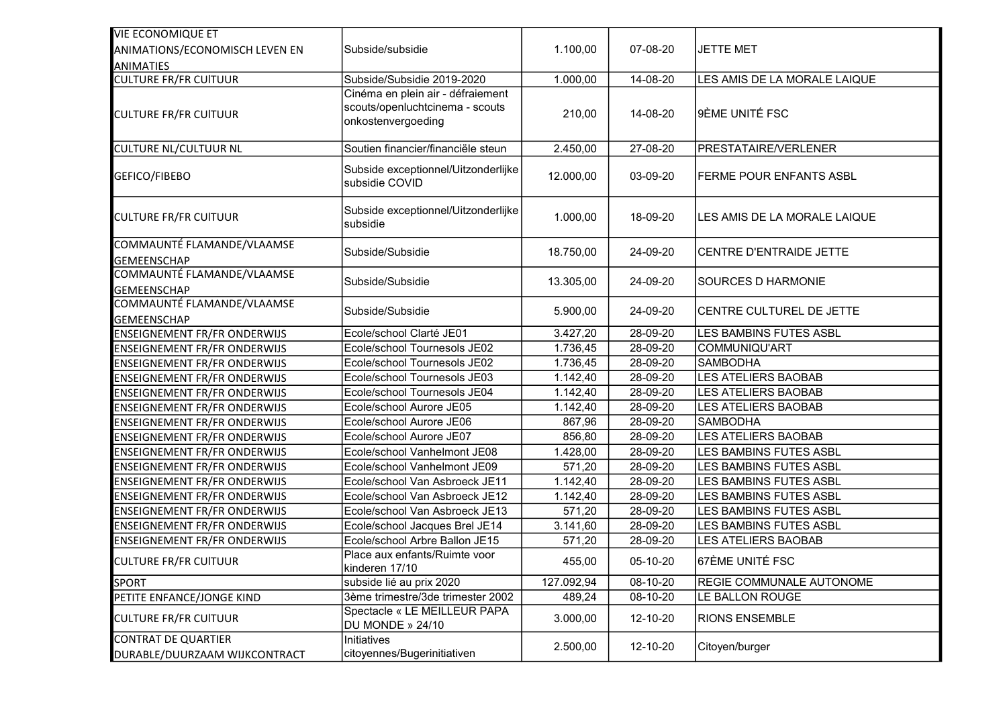| <b>VIE ECONOMIQUE ET</b>                                    |                                                                                            |            |          |                                 |
|-------------------------------------------------------------|--------------------------------------------------------------------------------------------|------------|----------|---------------------------------|
| ANIMATIONS/ECONOMISCH LEVEN EN                              | Subside/subsidie                                                                           | 1.100,00   | 07-08-20 | <b>JETTE MET</b>                |
| <b>ANIMATIES</b>                                            |                                                                                            |            |          |                                 |
| <b>CULTURE FR/FR CUITUUR</b>                                | Subside/Subsidie 2019-2020                                                                 | 1.000,00   | 14-08-20 | LES AMIS DE LA MORALE LAIQUE    |
| <b>CULTURE FR/FR CUITUUR</b>                                | Cinéma en plein air - défraiement<br>scouts/openluchtcinema - scouts<br>onkostenvergoeding | 210,00     | 14-08-20 | 9ÈME UNITÉ FSC                  |
| <b>CULTURE NL/CULTUUR NL</b>                                | Soutien financier/financiële steun                                                         | 2.450,00   | 27-08-20 | <b>PRESTATAIRE/VERLENER</b>     |
| GEFICO/FIBEBO                                               | Subside exceptionnel/Uitzonderlijke<br>subsidie COVID                                      | 12.000,00  | 03-09-20 | <b>FERME POUR ENFANTS ASBL</b>  |
| <b>CULTURE FR/FR CUITUUR</b>                                | Subside exceptionnel/Uitzonderlijke<br>subsidie                                            | 1.000,00   | 18-09-20 | LES AMIS DE LA MORALE LAIQUE    |
| COMMAUNTÉ FLAMANDE/VLAAMSE<br><b>GEMEENSCHAP</b>            | Subside/Subsidie                                                                           | 18.750,00  | 24-09-20 | CENTRE D'ENTRAIDE JETTE         |
| COMMAUNTÉ FLAMANDE/VLAAMSE<br><b>GEMEENSCHAP</b>            | Subside/Subsidie                                                                           | 13.305,00  | 24-09-20 | <b>SOURCES D HARMONIE</b>       |
| COMMAUNTÉ FLAMANDE/VLAAMSE<br><b>GEMEENSCHAP</b>            | Subside/Subsidie                                                                           | 5.900,00   | 24-09-20 | <b>CENTRE CULTUREL DE JETTE</b> |
| <b>ENSEIGNEMENT FR/FR ONDERWIJS</b>                         | Ecole/school Clarté JE01                                                                   | 3.427,20   | 28-09-20 | LES BAMBINS FUTES ASBL          |
| <b>ENSEIGNEMENT FR/FR ONDERWIJS</b>                         | Ecole/school Tournesols JE02                                                               | 1.736,45   | 28-09-20 | COMMUNIQU'ART                   |
| <b>ENSEIGNEMENT FR/FR ONDERWIJS</b>                         | Ecole/school Tournesols JE02                                                               | 1.736,45   | 28-09-20 | <b>SAMBODHA</b>                 |
| <b>ENSEIGNEMENT FR/FR ONDERWIJS</b>                         | Ecole/school Tournesols JE03                                                               | 1.142,40   | 28-09-20 | LES ATELIERS BAOBAB             |
| <b>ENSEIGNEMENT FR/FR ONDERWIJS</b>                         | Ecole/school Tournesols JE04                                                               | 1.142,40   | 28-09-20 | LES ATELIERS BAOBAB             |
| <b>ENSEIGNEMENT FR/FR ONDERWIJS</b>                         | Ecole/school Aurore JE05                                                                   | 1.142,40   | 28-09-20 | LES ATELIERS BAOBAB             |
| <b>ENSEIGNEMENT FR/FR ONDERWIJS</b>                         | Ecole/school Aurore JE06                                                                   | 867,96     | 28-09-20 | <b>SAMBODHA</b>                 |
| <b>ENSEIGNEMENT FR/FR ONDERWIJS</b>                         | Ecole/school Aurore JE07                                                                   | 856,80     | 28-09-20 | <b>LES ATELIERS BAOBAB</b>      |
| <b>ENSEIGNEMENT FR/FR ONDERWIJS</b>                         | Ecole/school Vanhelmont JE08                                                               | 1.428,00   | 28-09-20 | LES BAMBINS FUTES ASBL          |
| <b>ENSEIGNEMENT FR/FR ONDERWIJS</b>                         | Ecole/school Vanhelmont JE09                                                               | 571,20     | 28-09-20 | LES BAMBINS FUTES ASBL          |
| <b>ENSEIGNEMENT FR/FR ONDERWIJS</b>                         | Ecole/school Van Asbroeck JE11                                                             | 1.142,40   | 28-09-20 | LES BAMBINS FUTES ASBL          |
| <b>ENSEIGNEMENT FR/FR ONDERWIJS</b>                         | Ecole/school Van Asbroeck JE12                                                             | 1.142,40   | 28-09-20 | LES BAMBINS FUTES ASBL          |
| <b>ENSEIGNEMENT FR/FR ONDERWIJS</b>                         | Ecole/school Van Asbroeck JE13                                                             | 571,20     | 28-09-20 | LES BAMBINS FUTES ASBL          |
| <b>ENSEIGNEMENT FR/FR ONDERWIJS</b>                         | Ecole/school Jacques Brel JE14                                                             | 3.141,60   | 28-09-20 | LES BAMBINS FUTES ASBL          |
| <b>ENSEIGNEMENT FR/FR ONDERWIJS</b>                         | Ecole/school Arbre Ballon JE15                                                             | 571,20     | 28-09-20 | LES ATELIERS BAOBAB             |
| <b>CULTURE FR/FR CUITUUR</b>                                | Place aux enfants/Ruimte voor<br>kinderen 17/10                                            | 455,00     | 05-10-20 | 67ÈME UNITÉ FSC                 |
| <b>SPORT</b>                                                | subside lié au prix 2020                                                                   | 127.092,94 | 08-10-20 | <b>REGIE COMMUNALE AUTONOME</b> |
| PETITE ENFANCE/JONGE KIND                                   | 3ème trimestre/3de trimester 2002                                                          | 489,24     | 08-10-20 | LE BALLON ROUGE                 |
| <b>CULTURE FR/FR CUITUUR</b>                                | Spectacle « LE MEILLEUR PAPA<br>DU MONDE » 24/10                                           | 3.000,00   | 12-10-20 | <b>RIONS ENSEMBLE</b>           |
| <b>CONTRAT DE QUARTIER</b><br>DURABLE/DUURZAAM WIJKCONTRACT | Initiatives<br>citoyennes/Bugerinitiativen                                                 | 2.500,00   | 12-10-20 | Citoyen/burger                  |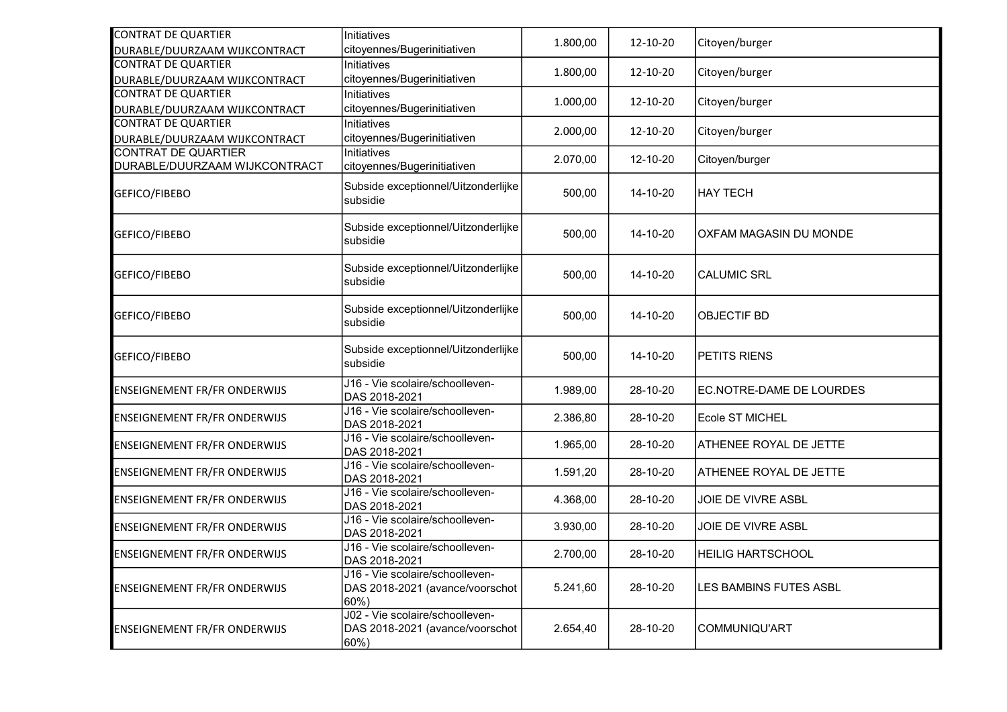| <b>CONTRAT DE QUARTIER</b><br>DURABLE/DUURZAAM WIJKCONTRACT | Initiatives<br>citoyennes/Bugerinitiativen                                     | 1.800,00 | 12-10-20 | Citoyen/burger           |
|-------------------------------------------------------------|--------------------------------------------------------------------------------|----------|----------|--------------------------|
| <b>CONTRAT DE QUARTIER</b><br>DURABLE/DUURZAAM WIJKCONTRACT | Initiatives<br>citoyennes/Bugerinitiativen                                     | 1.800,00 | 12-10-20 | Citoyen/burger           |
| <b>CONTRAT DE QUARTIER</b><br>DURABLE/DUURZAAM WIJKCONTRACT | Initiatives<br>citoyennes/Bugerinitiativen                                     | 1.000,00 | 12-10-20 | Citoyen/burger           |
| <b>CONTRAT DE QUARTIER</b><br>DURABLE/DUURZAAM WIJKCONTRACT | Initiatives<br>citoyennes/Bugerinitiativen                                     | 2.000,00 | 12-10-20 | Citoyen/burger           |
| <b>CONTRAT DE QUARTIER</b><br>DURABLE/DUURZAAM WIJKCONTRACT | Initiatives<br>citoyennes/Bugerinitiativen                                     | 2.070,00 | 12-10-20 | Citoyen/burger           |
| GEFICO/FIBEBO                                               | Subside exceptionnel/Uitzonderlijke<br>subsidie                                | 500,00   | 14-10-20 | HAY TECH                 |
| GEFICO/FIBEBO                                               | Subside exceptionnel/Uitzonderlijke<br>subsidie                                | 500,00   | 14-10-20 | OXFAM MAGASIN DU MONDE   |
| GEFICO/FIBEBO                                               | Subside exceptionnel/Uitzonderlijke<br>subsidie                                | 500,00   | 14-10-20 | <b>CALUMIC SRL</b>       |
| GEFICO/FIBEBO                                               | Subside exceptionnel/Uitzonderlijke<br>subsidie                                | 500,00   | 14-10-20 | <b>OBJECTIF BD</b>       |
| GEFICO/FIBEBO                                               | Subside exceptionnel/Uitzonderlijke<br>subsidie                                | 500,00   | 14-10-20 | <b>PETITS RIENS</b>      |
| <b>ENSEIGNEMENT FR/FR ONDERWIJS</b>                         | J16 - Vie scolaire/schoolleven-<br>DAS 2018-2021                               | 1.989,00 | 28-10-20 | EC.NOTRE-DAME DE LOURDES |
| <b>ENSEIGNEMENT FR/FR ONDERWIJS</b>                         | J16 - Vie scolaire/schoolleven-<br>DAS 2018-2021                               | 2.386,80 | 28-10-20 | Ecole ST MICHEL          |
| <b>ENSEIGNEMENT FR/FR ONDERWIJS</b>                         | J16 - Vie scolaire/schoolleven-<br>DAS 2018-2021                               | 1.965,00 | 28-10-20 | ATHENEE ROYAL DE JETTE   |
| <b>ENSEIGNEMENT FR/FR ONDERWIJS</b>                         | J16 - Vie scolaire/schoolleven-<br>DAS 2018-2021                               | 1.591,20 | 28-10-20 | ATHENEE ROYAL DE JETTE   |
| <b>ENSEIGNEMENT FR/FR ONDERWIJS</b>                         | J16 - Vie scolaire/schoolleven-<br>DAS 2018-2021                               | 4.368,00 | 28-10-20 | JOIE DE VIVRE ASBL       |
| <b>ENSEIGNEMENT FR/FR ONDERWIJS</b>                         | J16 - Vie scolaire/schoolleven-<br>DAS 2018-2021                               | 3.930,00 | 28-10-20 | JOIE DE VIVRE ASBL       |
| <b>ENSEIGNEMENT FR/FR ONDERWIJS</b>                         | J16 - Vie scolaire/schoolleven-<br>DAS 2018-2021                               | 2.700,00 | 28-10-20 | <b>HEILIG HARTSCHOOL</b> |
| <b>ENSEIGNEMENT FR/FR ONDERWIJS</b>                         | J16 - Vie scolaire/schoolleven-<br>DAS 2018-2021 (avance/voorschot<br>$60\%$ ) | 5.241,60 | 28-10-20 | LES BAMBINS FUTES ASBL   |
| <b>ENSEIGNEMENT FR/FR ONDERWIJS</b>                         | J02 - Vie scolaire/schoolleven-<br>DAS 2018-2021 (avance/voorschot<br>60%)     | 2.654,40 | 28-10-20 | COMMUNIQU'ART            |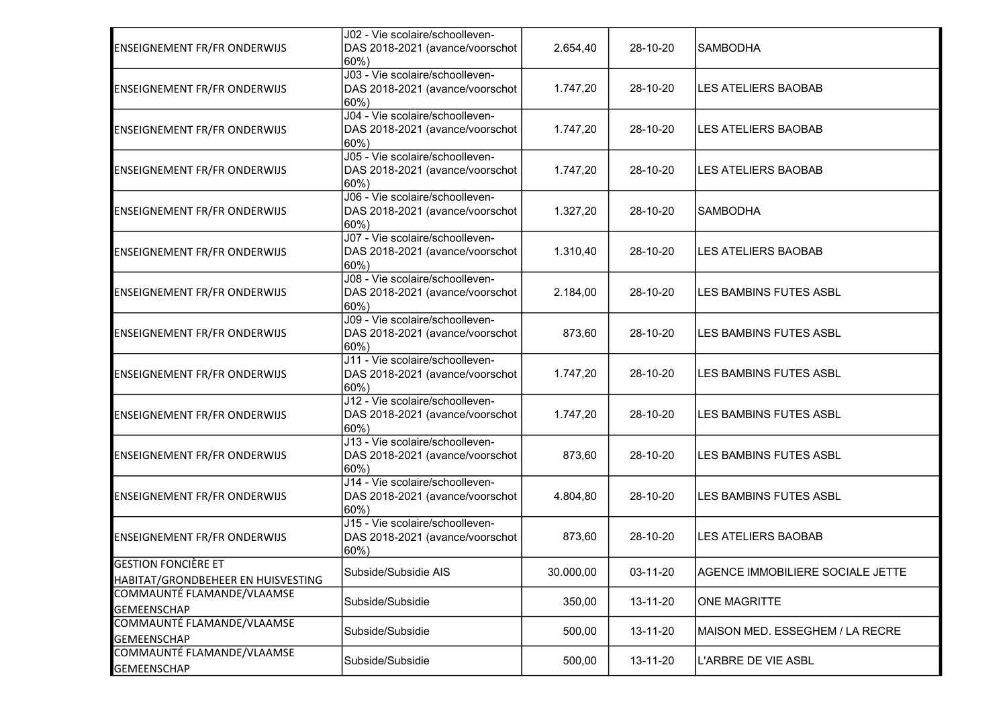| <b>ENSEIGNEMENT FR/FR ONDERWIJS</b>                              | J02 - Vie scolaire/schoolleven-<br>DAS 2018-2021 (avance/voorschot<br>60%) | 2.654,40  | 28-10-20 | <b>SAMBODHA</b>                  |
|------------------------------------------------------------------|----------------------------------------------------------------------------|-----------|----------|----------------------------------|
| <b>ENSEIGNEMENT FR/FR ONDERWIJS</b>                              | J03 - Vie scolaire/schoolleven-<br>DAS 2018-2021 (avance/voorschot<br>60%) | 1.747,20  | 28-10-20 | <b>LES ATELIERS BAOBAB</b>       |
| <b>ENSEIGNEMENT FR/FR ONDERWIJS</b>                              | J04 - Vie scolaire/schoolleven-<br>DAS 2018-2021 (avance/voorschot<br>60%) | 1.747,20  | 28-10-20 | <b>LES ATELIERS BAOBAB</b>       |
| <b>ENSEIGNEMENT FR/FR ONDERWIJS</b>                              | J05 - Vie scolaire/schoolleven-<br>DAS 2018-2021 (avance/voorschot<br>60%) | 1.747,20  | 28-10-20 | <b>LES ATELIERS BAOBAB</b>       |
| <b>ENSEIGNEMENT FR/FR ONDERWIJS</b>                              | J06 - Vie scolaire/schoolleven-<br>DAS 2018-2021 (avance/voorschot<br>60%) | 1.327,20  | 28-10-20 | <b>SAMBODHA</b>                  |
| <b>ENSEIGNEMENT FR/FR ONDERWIJS</b>                              | J07 - Vie scolaire/schoolleven-<br>DAS 2018-2021 (avance/voorschot<br>60%) | 1.310,40  | 28-10-20 | <b>LES ATELIERS BAOBAB</b>       |
| <b>ENSEIGNEMENT FR/FR ONDERWIJS</b>                              | J08 - Vie scolaire/schoolleven-<br>DAS 2018-2021 (avance/voorschot<br>60%) | 2.184,00  | 28-10-20 | LES BAMBINS FUTES ASBL           |
| <b>ENSEIGNEMENT FR/FR ONDERWIJS</b>                              | J09 - Vie scolaire/schoolleven-<br>DAS 2018-2021 (avance/voorschot<br>60%) | 873,60    | 28-10-20 | LES BAMBINS FUTES ASBL           |
| <b>ENSEIGNEMENT FR/FR ONDERWIJS</b>                              | J11 - Vie scolaire/schoolleven-<br>DAS 2018-2021 (avance/voorschot<br>60%) | 1.747,20  | 28-10-20 | LES BAMBINS FUTES ASBL           |
| <b>ENSEIGNEMENT FR/FR ONDERWIJS</b>                              | J12 - Vie scolaire/schoolleven-<br>DAS 2018-2021 (avance/voorschot<br>60%) | 1.747,20  | 28-10-20 | LES BAMBINS FUTES ASBL           |
| <b>ENSEIGNEMENT FR/FR ONDERWIJS</b>                              | J13 - Vie scolaire/schoolleven-<br>DAS 2018-2021 (avance/voorschot<br>60%) | 873,60    | 28-10-20 | LES BAMBINS FUTES ASBL           |
| <b>ENSEIGNEMENT FR/FR ONDERWIJS</b>                              | J14 - Vie scolaire/schoolleven-<br>DAS 2018-2021 (avance/voorschot<br>60%) | 4.804,80  | 28-10-20 | <b>LES BAMBINS FUTES ASBL</b>    |
| <b>ENSEIGNEMENT FR/FR ONDERWIJS</b>                              | J15 - Vie scolaire/schoolleven-<br>DAS 2018-2021 (avance/voorschot<br>60%) | 873,60    | 28-10-20 | <b>LES ATELIERS BAOBAB</b>       |
| <b>GESTION FONCIÈRE ET</b><br>HABITAT/GRONDBEHEER EN HUISVESTING | Subside/Subsidie AIS                                                       | 30.000,00 | 03-11-20 | AGENCE IMMOBILIERE SOCIALE JETTE |
| COMMAUNTÉ FLAMANDE/VLAAMSE<br><b>GEMEENSCHAP</b>                 | Subside/Subsidie                                                           | 350,00    | 13-11-20 | <b>ONE MAGRITTE</b>              |
| COMMAUNTÉ FLAMANDE/VLAAMSE<br><b>GEMEENSCHAP</b>                 | Subside/Subsidie                                                           | 500,00    | 13-11-20 | MAISON MED. ESSEGHEM / LA RECRE  |
| COMMAUNTÉ FLAMANDE/VLAAMSE<br><b>GEMEENSCHAP</b>                 | Subside/Subsidie                                                           | 500,00    | 13-11-20 | L'ARBRE DE VIE ASBL              |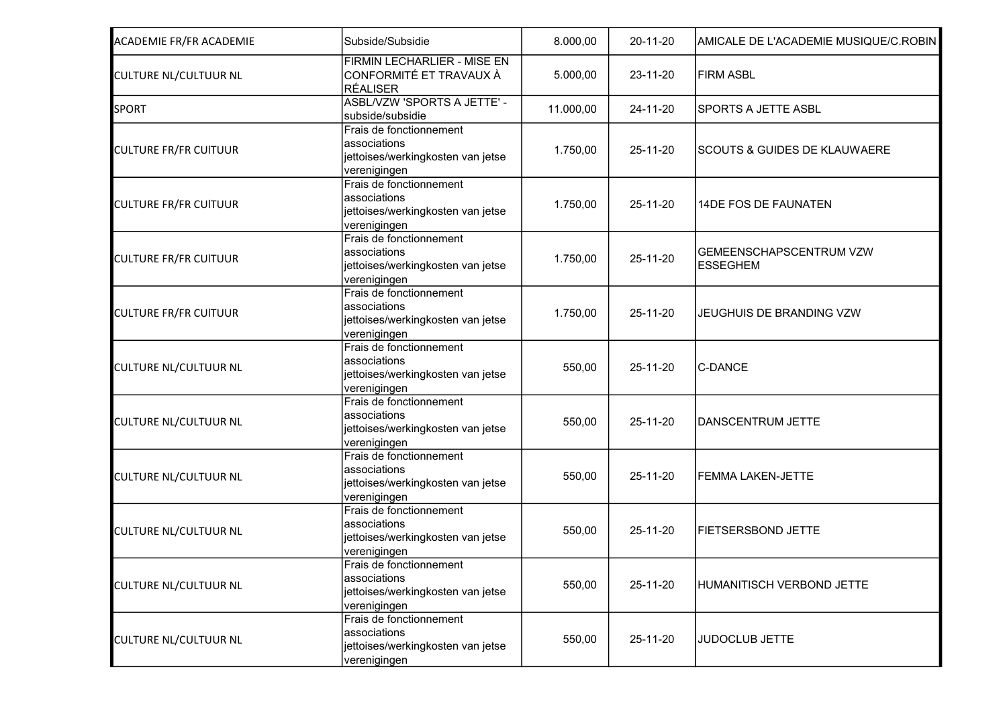| <b>ACADEMIE FR/FR ACADEMIE</b> | Subside/Subsidie                                                                             | 8.000,00  | 20-11-20 | AMICALE DE L'ACADEMIE MUSIQUE/C.ROBIN             |
|--------------------------------|----------------------------------------------------------------------------------------------|-----------|----------|---------------------------------------------------|
| <b>CULTURE NL/CULTUUR NL</b>   | <b>FIRMIN LECHARLIER - MISE EN</b><br>CONFORMITÉ ET TRAVAUX À<br><b>RÉALISER</b>             | 5.000,00  | 23-11-20 | <b>FIRM ASBL</b>                                  |
| <b>SPORT</b>                   | ASBL/VZW 'SPORTS A JETTE' -<br>subside/subsidie                                              | 11.000,00 | 24-11-20 | SPORTS A JETTE ASBL                               |
| <b>CULTURE FR/FR CUITUUR</b>   | Frais de fonctionnement<br>associations<br>jettoises/werkingkosten van jetse<br>verenigingen | 1.750,00  | 25-11-20 | <b>SCOUTS &amp; GUIDES DE KLAUWAERE</b>           |
| <b>CULTURE FR/FR CUITUUR</b>   | Frais de fonctionnement<br>associations<br>jettoises/werkingkosten van jetse<br>verenigingen | 1.750,00  | 25-11-20 | 14DE FOS DE FAUNATEN                              |
| <b>CULTURE FR/FR CUITUUR</b>   | Frais de fonctionnement<br>associations<br>jettoises/werkingkosten van jetse<br>verenigingen | 1.750,00  | 25-11-20 | <b>GEMEENSCHAPSCENTRUM VZW</b><br><b>ESSEGHEM</b> |
| <b>CULTURE FR/FR CUITUUR</b>   | Frais de fonctionnement<br>associations<br>jettoises/werkingkosten van jetse<br>verenigingen | 1.750,00  | 25-11-20 | JEUGHUIS DE BRANDING VZW                          |
| <b>CULTURE NL/CULTUUR NL</b>   | Frais de fonctionnement<br>associations<br>jettoises/werkingkosten van jetse<br>verenigingen | 550,00    | 25-11-20 | <b>C-DANCE</b>                                    |
| <b>CULTURE NL/CULTUUR NL</b>   | Frais de fonctionnement<br>associations<br>jettoises/werkingkosten van jetse<br>verenigingen | 550,00    | 25-11-20 | DANSCENTRUM JETTE                                 |
| <b>CULTURE NL/CULTUUR NL</b>   | Frais de fonctionnement<br>associations<br>jettoises/werkingkosten van jetse<br>verenigingen | 550,00    | 25-11-20 | <b>FEMMA LAKEN-JETTE</b>                          |
| <b>CULTURE NL/CULTUUR NL</b>   | Frais de fonctionnement<br>associations<br>jettoises/werkingkosten van jetse<br>verenigingen | 550,00    | 25-11-20 | <b>FIETSERSBOND JETTE</b>                         |
| <b>CULTURE NL/CULTUUR NL</b>   | Frais de fonctionnement<br>associations<br>jettoises/werkingkosten van jetse<br>verenigingen | 550,00    | 25-11-20 | HUMANITISCH VERBOND JETTE                         |
| <b>CULTURE NL/CULTUUR NL</b>   | Frais de fonctionnement<br>associations<br>jettoises/werkingkosten van jetse<br>verenigingen | 550,00    | 25-11-20 | <b>JUDOCLUB JETTE</b>                             |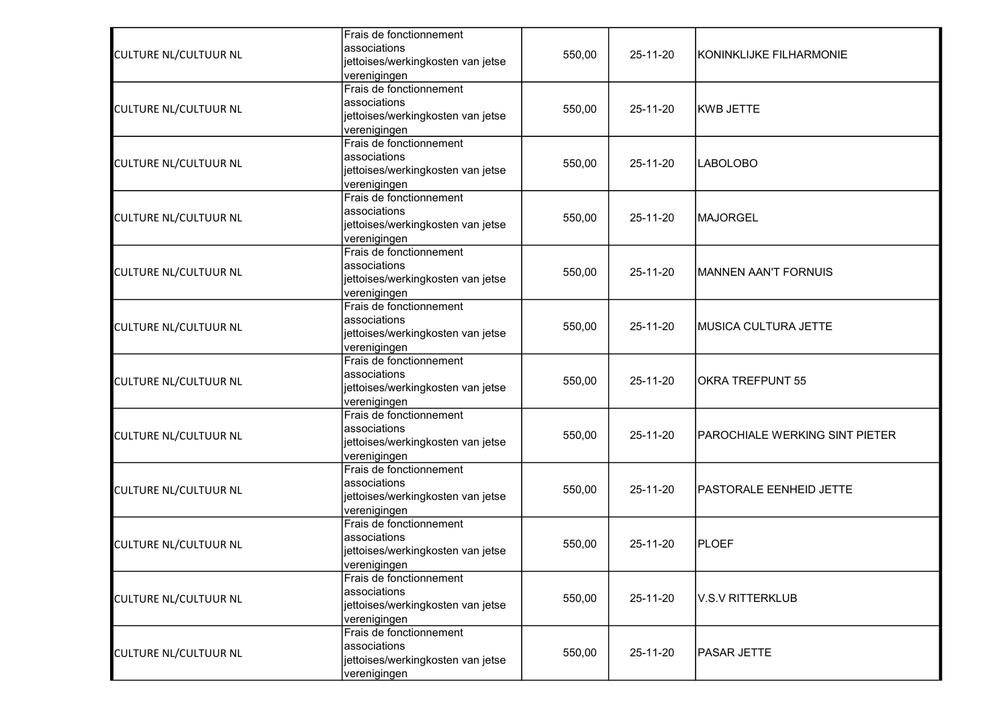|                              | Frais de fonctionnement           |        |          |                                |
|------------------------------|-----------------------------------|--------|----------|--------------------------------|
|                              | associations                      |        | 25-11-20 | KONINKLIJKE FILHARMONIE        |
| <b>CULTURE NL/CULTUUR NL</b> | jettoises/werkingkosten van jetse | 550,00 |          |                                |
|                              | verenigingen                      |        |          |                                |
|                              | Frais de fonctionnement           |        |          |                                |
|                              | associations                      |        |          |                                |
| <b>CULTURE NL/CULTUUR NL</b> | jettoises/werkingkosten van jetse | 550,00 | 25-11-20 | KWB JETTE                      |
|                              | verenigingen                      |        |          |                                |
|                              | Frais de fonctionnement           |        |          |                                |
| <b>CULTURE NL/CULTUUR NL</b> | associations                      | 550,00 | 25-11-20 | <b>LABOLOBO</b>                |
|                              | jettoises/werkingkosten van jetse |        |          |                                |
|                              | verenigingen                      |        |          |                                |
|                              | Frais de fonctionnement           |        |          |                                |
| <b>CULTURE NL/CULTUUR NL</b> | associations                      | 550,00 | 25-11-20 | <b>MAJORGEL</b>                |
|                              | jettoises/werkingkosten van jetse |        |          |                                |
|                              | verenigingen                      |        |          |                                |
|                              | Frais de fonctionnement           |        |          |                                |
| <b>CULTURE NL/CULTUUR NL</b> | associations                      | 550,00 | 25-11-20 | <b>MANNEN AAN'T FORNUIS</b>    |
|                              | jettoises/werkingkosten van jetse |        |          |                                |
|                              | verenigingen                      |        |          |                                |
|                              | Frais de fonctionnement           | 550,00 | 25-11-20 | MUSICA CULTURA JETTE           |
| <b>CULTURE NL/CULTUUR NL</b> | associations                      |        |          |                                |
|                              | jettoises/werkingkosten van jetse |        |          |                                |
|                              | verenigingen                      |        |          |                                |
|                              | Frais de fonctionnement           | 550,00 |          | <b>OKRA TREFPUNT 55</b>        |
| <b>CULTURE NL/CULTUUR NL</b> | associations                      |        | 25-11-20 |                                |
|                              | jettoises/werkingkosten van jetse |        |          |                                |
|                              | verenigingen                      |        |          |                                |
|                              | Frais de fonctionnement           |        | 25-11-20 | PAROCHIALE WERKING SINT PIETER |
| <b>CULTURE NL/CULTUUR NL</b> | associations                      | 550,00 |          |                                |
|                              | jettoises/werkingkosten van jetse |        |          |                                |
|                              | verenigingen                      |        |          |                                |
|                              | Frais de fonctionnement           |        |          | <b>PASTORALE EENHEID JETTE</b> |
| <b>CULTURE NL/CULTUUR NL</b> | associations                      | 550,00 | 25-11-20 |                                |
|                              | jettoises/werkingkosten van jetse |        |          |                                |
|                              | verenigingen                      |        |          |                                |
|                              | Frais de fonctionnement           |        |          |                                |
| <b>CULTURE NL/CULTUUR NL</b> | associations                      | 550,00 | 25-11-20 | PLOEF                          |
|                              | jettoises/werkingkosten van jetse |        |          |                                |
|                              | verenigingen                      |        |          |                                |
| <b>CULTURE NL/CULTUUR NL</b> | Frais de fonctionnement           |        |          |                                |
|                              | associations                      | 550,00 | 25-11-20 | <b>V.S.V RITTERKLUB</b>        |
|                              | jettoises/werkingkosten van jetse |        |          |                                |
|                              | verenigingen                      |        |          |                                |
|                              | Frais de fonctionnement           |        |          |                                |
| <b>CULTURE NL/CULTUUR NL</b> | associations                      | 550,00 | 25-11-20 | PASAR JETTE                    |
|                              | jettoises/werkingkosten van jetse |        |          |                                |
|                              | verenigingen                      |        |          |                                |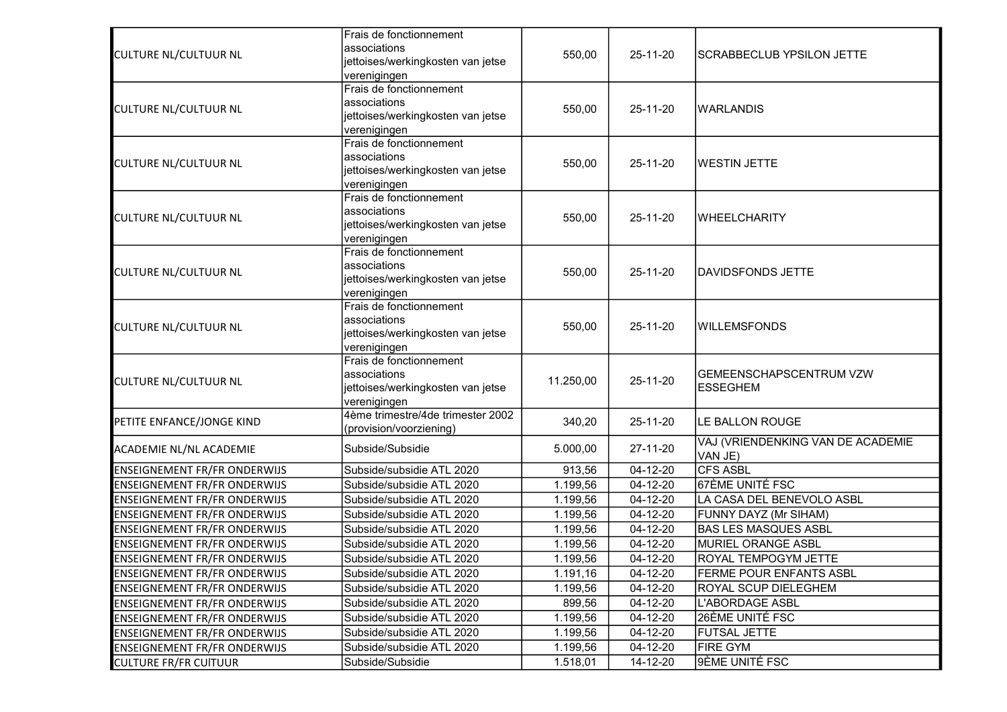|                                     | Frais de fonctionnement                 |           |          |                                            |
|-------------------------------------|-----------------------------------------|-----------|----------|--------------------------------------------|
|                                     | associations                            |           | 25-11-20 | SCRABBECLUB YPSILON JETTE                  |
| <b>CULTURE NL/CULTUUR NL</b>        | jettoises/werkingkosten van jetse       | 550,00    |          |                                            |
|                                     | verenigingen                            |           |          |                                            |
|                                     | Frais de fonctionnement                 |           |          |                                            |
| <b>CULTURE NL/CULTUUR NL</b>        | associations                            | 550,00    | 25-11-20 | <b>WARLANDIS</b>                           |
|                                     | jettoises/werkingkosten van jetse       |           |          |                                            |
|                                     | verenigingen                            |           |          |                                            |
|                                     | Frais de fonctionnement                 |           |          |                                            |
| <b>CULTURE NL/CULTUUR NL</b>        | associations                            | 550,00    | 25-11-20 | <b>WESTIN JETTE</b>                        |
|                                     | jettoises/werkingkosten van jetse       |           |          |                                            |
|                                     | verenigingen                            |           |          |                                            |
|                                     | Frais de fonctionnement                 |           |          |                                            |
| <b>CULTURE NL/CULTUUR NL</b>        | associations                            | 550,00    | 25-11-20 | WHEELCHARITY                               |
|                                     | jettoises/werkingkosten van jetse       |           |          |                                            |
|                                     | verenigingen<br>Frais de fonctionnement |           |          |                                            |
|                                     | associations                            |           |          |                                            |
| <b>CULTURE NL/CULTUUR NL</b>        | jettoises/werkingkosten van jetse       | 550,00    | 25-11-20 | DAVIDSFONDS JETTE                          |
|                                     | verenigingen                            |           |          |                                            |
|                                     | Frais de fonctionnement                 | 550,00    |          |                                            |
|                                     | associations                            |           | 25-11-20 |                                            |
| <b>CULTURE NL/CULTUUR NL</b>        | jettoises/werkingkosten van jetse       |           |          | <b>WILLEMSFONDS</b>                        |
|                                     | verenigingen                            |           |          |                                            |
|                                     | Frais de fonctionnement                 | 11.250,00 |          |                                            |
| <b>CULTURE NL/CULTUUR NL</b>        | associations                            |           | 25-11-20 | GEMEENSCHAPSCENTRUM VZW<br><b>ESSEGHEM</b> |
|                                     | jettoises/werkingkosten van jetse       |           |          |                                            |
|                                     | verenigingen                            |           |          |                                            |
| PETITE ENFANCE/JONGE KIND           | 4ème trimestre/4de trimester 2002       | 340,20    | 25-11-20 | LE BALLON ROUGE                            |
|                                     | (provision/voorziening)                 |           |          |                                            |
| ACADEMIE NL/NL ACADEMIE             | Subside/Subsidie                        | 5.000,00  | 27-11-20 | VAJ (VRIENDENKING VAN DE ACADEMIE          |
|                                     |                                         |           |          | VAN JE)                                    |
| <b>ENSEIGNEMENT FR/FR ONDERWIJS</b> | Subside/subsidie ATL 2020               | 913,56    | 04-12-20 | <b>CFS ASBL</b>                            |
| <b>ENSEIGNEMENT FR/FR ONDERWIJS</b> | Subside/subsidie ATL 2020               | 1.199,56  | 04-12-20 | 67ÈME UNITÉ FSC                            |
| <b>ENSEIGNEMENT FR/FR ONDERWIJS</b> | Subside/subsidie ATL 2020               | 1.199,56  | 04-12-20 | LA CASA DEL BENEVOLO ASBL                  |
| <b>ENSEIGNEMENT FR/FR ONDERWIJS</b> | Subside/subsidie ATL 2020               | 1.199,56  | 04-12-20 | FUNNY DAYZ (Mr SIHAM)                      |
| <b>ENSEIGNEMENT FR/FR ONDERWIJS</b> | Subside/subsidie ATL 2020               | 1.199,56  | 04-12-20 | <b>BAS LES MASQUES ASBL</b>                |
| <b>ENSEIGNEMENT FR/FR ONDERWIJS</b> | Subside/subsidie ATL 2020               | 1.199,56  | 04-12-20 | MURIEL ORANGE ASBL                         |
| <b>ENSEIGNEMENT FR/FR ONDERWIJS</b> | Subside/subsidie ATL 2020               | 1.199,56  | 04-12-20 | ROYAL TEMPOGYM JETTE                       |
| <b>ENSEIGNEMENT FR/FR ONDERWIJS</b> | Subside/subsidie ATL 2020               | 1.191,16  | 04-12-20 | <b>FERME POUR ENFANTS ASBL</b>             |
| <b>ENSEIGNEMENT FR/FR ONDERWIJS</b> | Subside/subsidie ATL 2020               | 1.199,56  | 04-12-20 | ROYAL SCUP DIELEGHEM                       |
| <b>ENSEIGNEMENT FR/FR ONDERWIJS</b> | Subside/subsidie ATL 2020               | 899,56    | 04-12-20 | L'ABORDAGE ASBL                            |
| <b>ENSEIGNEMENT FR/FR ONDERWIJS</b> | Subside/subsidie ATL 2020               | 1.199,56  | 04-12-20 | 26ÈME UNITÉ FSC                            |
| <b>ENSEIGNEMENT FR/FR ONDERWIJS</b> | Subside/subsidie ATL 2020               | 1.199,56  | 04-12-20 | <b>FUTSAL JETTE</b>                        |
| <b>ENSEIGNEMENT FR/FR ONDERWIJS</b> | Subside/subsidie ATL 2020               | 1.199,56  | 04-12-20 | <b>FIRE GYM</b>                            |
| <b>CULTURE FR/FR CUITUUR</b>        | Subside/Subsidie                        | 1.518,01  | 14-12-20 | 9ÈME UNITÉ FSC                             |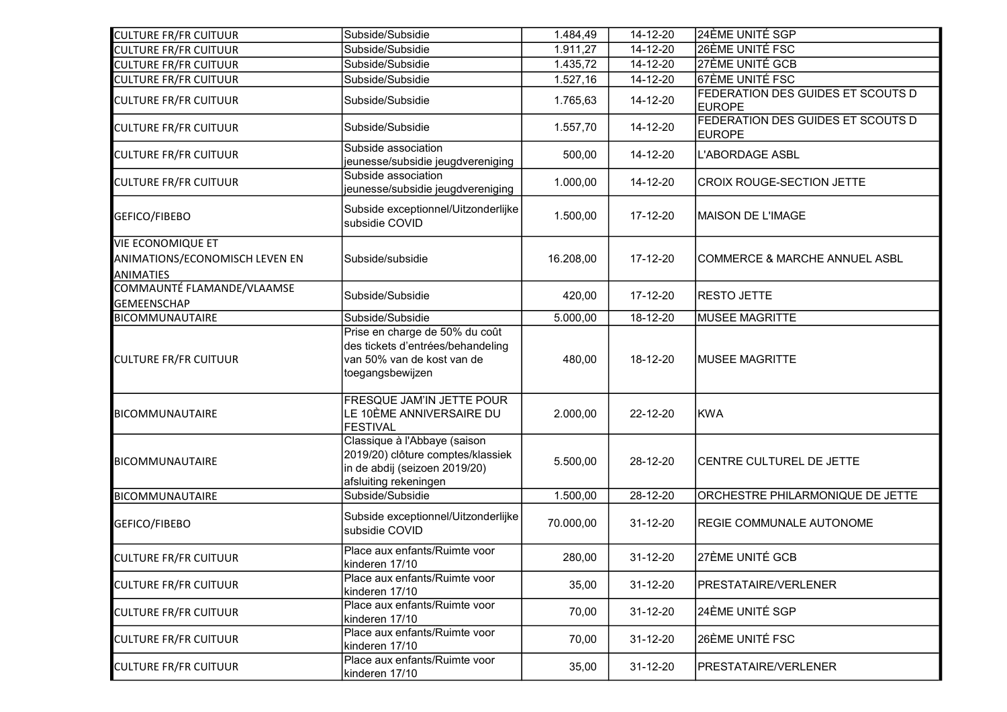| <b>CULTURE FR/FR CUITUUR</b>                       | Subside/Subsidie                                                                                                            | 1.484,49  | 14-12-20 | 24ÈME UNITÉ SGP                                    |
|----------------------------------------------------|-----------------------------------------------------------------------------------------------------------------------------|-----------|----------|----------------------------------------------------|
| <b>CULTURE FR/FR CUITUUR</b>                       | Subside/Subsidie                                                                                                            | 1.911,27  | 14-12-20 | 26ÈME UNITÉ FSC                                    |
| <b>CULTURE FR/FR CUITUUR</b>                       | Subside/Subsidie                                                                                                            | 1.435,72  | 14-12-20 | 27ÈME UNITÉ GCB                                    |
| <b>CULTURE FR/FR CUITUUR</b>                       | Subside/Subsidie                                                                                                            | 1.527,16  | 14-12-20 | 67ÈME UNITÉ FSC                                    |
| <b>CULTURE FR/FR CUITUUR</b>                       | Subside/Subsidie                                                                                                            | 1.765,63  | 14-12-20 | FEDERATION DES GUIDES ET SCOUTS D<br><b>EUROPE</b> |
| <b>CULTURE FR/FR CUITUUR</b>                       | Subside/Subsidie                                                                                                            | 1.557,70  | 14-12-20 | FEDERATION DES GUIDES ET SCOUTS D<br><b>EUROPE</b> |
| <b>CULTURE FR/FR CUITUUR</b>                       | Subside association<br>jeunesse/subsidie jeugdvereniging                                                                    | 500,00    | 14-12-20 | <b>L'ABORDAGE ASBL</b>                             |
| <b>CULTURE FR/FR CUITUUR</b>                       | Subside association<br>jeunesse/subsidie jeugdvereniging                                                                    | 1.000,00  | 14-12-20 | <b>CROIX ROUGE-SECTION JETTE</b>                   |
| GEFICO/FIBEBO                                      | Subside exceptionnel/Uitzonderlijke<br>subsidie COVID                                                                       | 1.500,00  | 17-12-20 | MAISON DE L'IMAGE                                  |
| <b>VIE ECONOMIQUE ET</b>                           |                                                                                                                             |           |          |                                                    |
| ANIMATIONS/ECONOMISCH LEVEN EN<br><b>ANIMATIES</b> | Subside/subsidie                                                                                                            | 16.208,00 | 17-12-20 | <b>COMMERCE &amp; MARCHE ANNUEL ASBL</b>           |
| COMMAUNTÉ FLAMANDE/VLAAMSE<br><b>GEMEENSCHAP</b>   | Subside/Subsidie                                                                                                            | 420,00    | 17-12-20 | <b>RESTO JETTE</b>                                 |
| <b>BICOMMUNAUTAIRE</b>                             | Subside/Subsidie                                                                                                            | 5.000,00  | 18-12-20 | <b>MUSEE MAGRITTE</b>                              |
| <b>CULTURE FR/FR CUITUUR</b>                       | Prise en charge de 50% du coût<br>des tickets d'entrées/behandeling<br>van 50% van de kost van de<br>toegangsbewijzen       | 480,00    | 18-12-20 | <b>IMUSEE MAGRITTE</b>                             |
| <b>BICOMMUNAUTAIRE</b>                             | FRESQUE JAM'IN JETTE POUR<br>LE 10ÈME ANNIVERSAIRE DU<br><b>FESTIVAL</b>                                                    | 2.000,00  | 22-12-20 | KWA                                                |
| <b>BICOMMUNAUTAIRE</b>                             | Classique à l'Abbaye (saison<br>2019/20) clôture comptes/klassiek<br>in de abdij (seizoen 2019/20)<br>afsluiting rekeningen | 5.500,00  | 28-12-20 | CENTRE CULTUREL DE JETTE                           |
| <b>BICOMMUNAUTAIRE</b>                             | Subside/Subsidie                                                                                                            | 1.500,00  | 28-12-20 | <b>ORCHESTRE PHILARMONIQUE DE JETTE</b>            |
| GEFICO/FIBEBO                                      | Subside exceptionnel/Uitzonderlijke<br>subsidie COVID                                                                       | 70.000,00 | 31-12-20 | <b>REGIE COMMUNALE AUTONOME</b>                    |
| <b>CULTURE FR/FR CUITUUR</b>                       | Place aux enfants/Ruimte voor<br>kinderen 17/10                                                                             | 280,00    | 31-12-20 | 27ÈME UNITÉ GCB                                    |
| <b>CULTURE FR/FR CUITUUR</b>                       | Place aux enfants/Ruimte voor<br>kinderen 17/10                                                                             | 35,00     | 31-12-20 | <b>PRESTATAIRE/VERLENER</b>                        |
| <b>CULTURE FR/FR CUITUUR</b>                       | Place aux enfants/Ruimte voor<br>kinderen 17/10                                                                             | 70,00     | 31-12-20 | 24ÈME UNITÉ SGP                                    |
| <b>CULTURE FR/FR CUITUUR</b>                       | Place aux enfants/Ruimte voor<br>kinderen 17/10                                                                             | 70,00     | 31-12-20 | 26ÈME UNITÉ FSC                                    |
| <b>CULTURE FR/FR CUITUUR</b>                       | Place aux enfants/Ruimte voor<br>kinderen 17/10                                                                             | 35,00     | 31-12-20 | <b>PRESTATAIRE/VERLENER</b>                        |